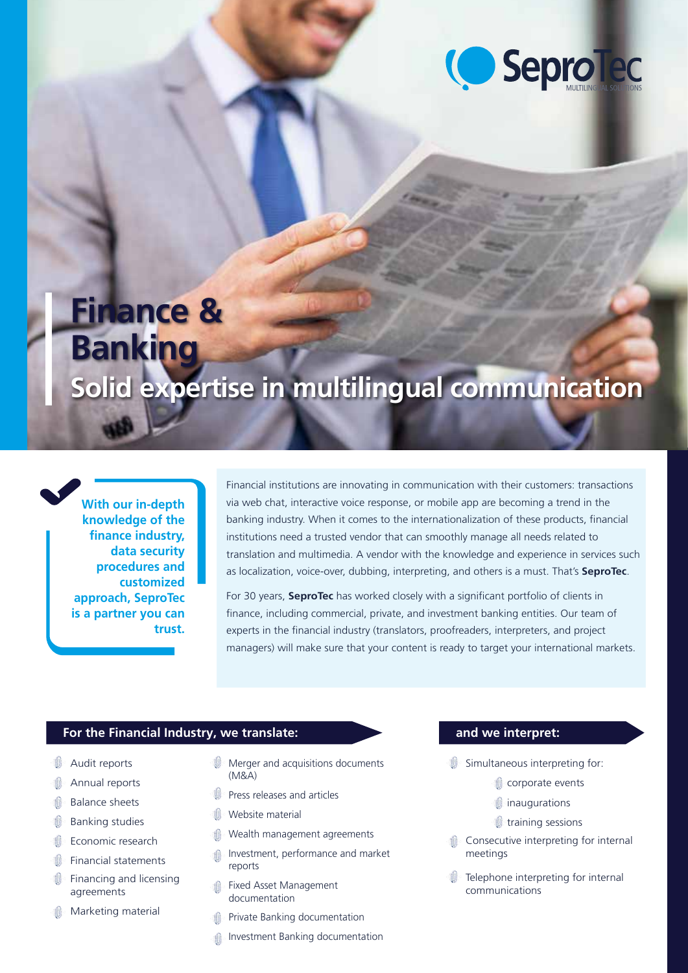

# **Finance & Banking**

## **Solid expertise in multilingual communication**

**With our in-depth knowledge of the finance industry, data security procedures and customized approach, SeproTec is a partner you can trust.**

Financial institutions are innovating in communication with their customers: transactions via web chat, interactive voice response, or mobile app are becoming a trend in the banking industry. When it comes to the internationalization of these products, financial institutions need a trusted vendor that can smoothly manage all needs related to translation and multimedia. A vendor with the knowledge and experience in services such as localization, voice-over, dubbing, interpreting, and others is a must. That's **SeproTec**.

For 30 years, **SeproTec** has worked closely with a significant portfolio of clients in finance, including commercial, private, and investment banking entities. Our team of experts in the financial industry (translators, proofreaders, interpreters, and project managers) will make sure that your content is ready to target your international markets.

### **For the Financial Industry, we translate: and we interpret:**

- Audit reports
- Annual reports
- Balance sheets
- Banking studies
- Economic research
- **Financial statements**
- Financing and licensing Û agreements
- Marketing material
- **Merger and acquisitions documents** (M&A)
- Press releases and articles
- Website material
- Wealth management agreements
- Investment, performance and market  $\mathbb{R}$ reports
- Fixed Asset Management documentation
- Private Banking documentation
- Investment Banking documentation

- $\mathbb O$  Simultaneous interpreting for:
	- corporate events
	- $\hat{v}$  inaugurations
	- training sessions
- **Consecutive interpreting for internal** meetings
- **ID** Telephone interpreting for internal communications